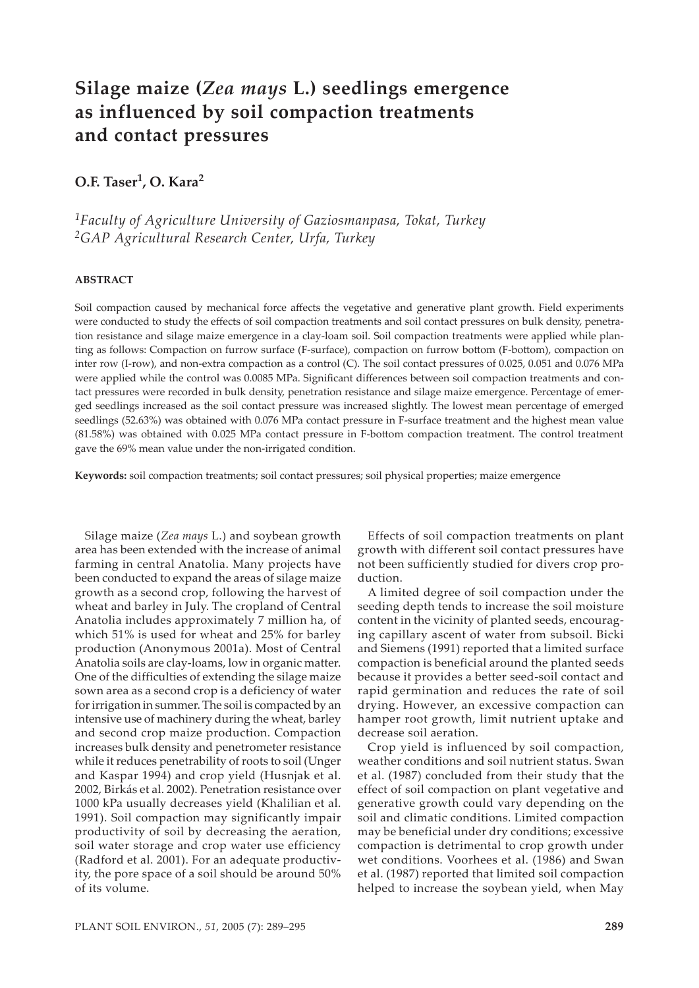# **Silage maize (***Zea mays* **L.) seedlings emergence as influenced by soil compaction treatments and contact pressures**

# **O.F. Taser1, O. Kara2**

*1Faculty of Agriculture University of Gaziosmanpasa, Tokat, Turkey 2GAP Agricultural Research Center, Urfa, Turkey*

#### **ABSTRACT**

Soil compaction caused by mechanical force affects the vegetative and generative plant growth. Field experiments were conducted to study the effects of soil compaction treatments and soil contact pressures on bulk density, penetration resistance and silage maize emergence in a clay-loam soil. Soil compaction treatments were applied while planting as follows: Compaction on furrow surface (F-surface), compaction on furrow bottom (F-bottom), compaction on inter row (I-row), and non-extra compaction as a control (C). The soil contact pressures of 0.025, 0.051 and 0.076 MPa were applied while the control was 0.0085 MPa. Significant differences between soil compaction treatments and contact pressures were recorded in bulk density, penetration resistance and silage maize emergence. Percentage of emerged seedlings increased as the soil contact pressure was increased slightly. The lowest mean percentage of emerged seedlings (52.63%) was obtained with 0.076 MPa contact pressure in F-surface treatment and the highest mean value (81.58%) was obtained with 0.025 MPa contact pressure in F-bottom compaction treatment. The control treatment gave the 69% mean value under the non-irrigated condition.

**Keywords:** soil compaction treatments; soil contact pressures; soil physical properties; maize emergence

Silage maize (*Zea mays* L.) and soybean growth area has been extended with the increase of animal farming in central Anatolia. Many projects have been conducted to expand the areas of silage maize growth as a second crop, following the harvest of wheat and barley in July. The cropland of Central Anatolia includes approximately 7 million ha, of which 51% is used for wheat and 25% for barley production (Anonymous 2001a). Most of Central Anatolia soils are clay-loams, low in organic matter. One of the difficulties of extending the silage maize sown area as a second crop is a deficiency of water for irrigation in summer. The soil is compacted by an intensive use of machinery during the wheat, barley and second crop maize production. Compaction increases bulk density and penetrometer resistance while it reduces penetrability of roots to soil (Unger and Kaspar 1994) and crop yield (Husnjak et al. 2002, Birkás et al. 2002). Penetration resistance over 1000 kPa usually decreases yield (Khalilian et al. 1991). Soil compaction may significantly impair productivity of soil by decreasing the aeration, soil water storage and crop water use efficiency (Radford et al. 2001). For an adequate productivity, the pore space of a soil should be around 50% of its volume.

Effects of soil compaction treatments on plant growth with different soil contact pressures have not been sufficiently studied for divers crop production.

A limited degree of soil compaction under the seeding depth tends to increase the soil moisture content in the vicinity of planted seeds, encouraging capillary ascent of water from subsoil. Bicki and Siemens (1991) reported that a limited surface compaction is beneficial around the planted seeds because it provides a better seed-soil contact and rapid germination and reduces the rate of soil drying. However, an excessive compaction can hamper root growth, limit nutrient uptake and decrease soil aeration.

Crop yield is influenced by soil compaction, weather conditions and soil nutrient status. Swan et al. (1987) concluded from their study that the effect of soil compaction on plant vegetative and generative growth could vary depending on the soil and climatic conditions. Limited compaction may be beneficial under dry conditions; excessive compaction is detrimental to crop growth under wet conditions. Voorhees et al. (1986) and Swan et al. (1987) reported that limited soil compaction helped to increase the soybean yield, when May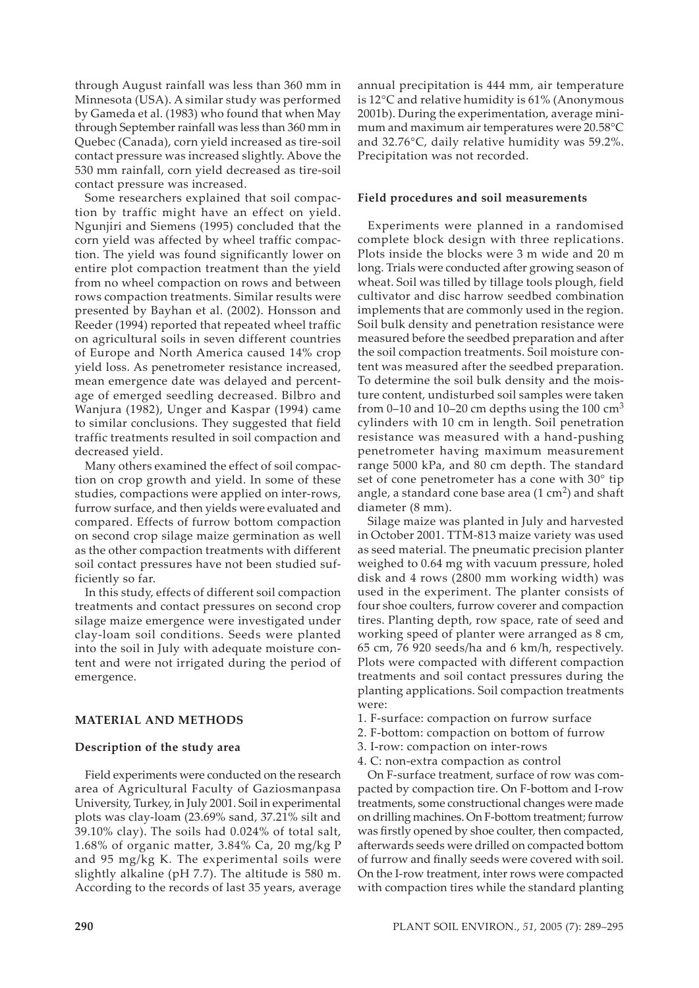through August rainfall was less than 360 mm in Minnesota (USA). A similar study was performed by Gameda et al. (1983) who found that when May through September rainfall was less than 360 mm in Quebec (Canada), corn yield increased as tire-soil contact pressure was increased slightly. Above the 530 mm rainfall, corn yield decreased as tire-soil contact pressure was increased.

Some researchers explained that soil compaction by traffic might have an effect on yield. Ngunjiri and Siemens (1995) concluded that the corn yield was affected by wheel traffic compaction. The yield was found significantly lower on entire plot compaction treatment than the yield from no wheel compaction on rows and between rows compaction treatments. Similar results were presented by Bayhan et al. (2002). Honsson and Reeder (1994) reported that repeated wheel traffic on agricultural soils in seven different countries of Europe and North America caused 14% crop yield loss. As penetrometer resistance increased, mean emergence date was delayed and percentage of emerged seedling decreased. Bilbro and Wanjura (1982), Unger and Kaspar (1994) came to similar conclusions. They suggested that field traffic treatments resulted in soil compaction and decreased yield.

Many others examined the effect of soil compaction on crop growth and yield. In some of these studies, compactions were applied on inter-rows, furrow surface, and then yields were evaluated and compared. Effects of furrow bottom compaction on second crop silage maize germination as well as the other compaction treatments with different soil contact pressures have not been studied sufficiently so far.

In this study, effects of different soil compaction treatments and contact pressures on second crop silage maize emergence were investigated under clay-loam soil conditions. Seeds were planted into the soil in July with adequate moisture content and were not irrigated during the period of emergence.

## **MATERIAL AND METHODS**

## **Description of the study area**

Field experiments were conducted on the research area of Agricultural Faculty of Gaziosmanpasa University, Turkey, in July 2001. Soil in experimental plots was clay-loam (23.69% sand, 37.21% silt and 39.10% clay). The soils had 0.024% of total salt, 1.68% of organic matter, 3.84% Ca, 20 mg/kg P and 95 mg/kg K. The experimental soils were slightly alkaline (pH 7.7). The altitude is 580 m. According to the records of last 35 years, average

annual precipitation is 444 mm, air temperature is 12°C and relative humidity is 61% (Anonymous 2001b). During the experimentation, average minimum and maximum air temperatures were 20.58°C and 32.76°C, daily relative humidity was 59.2%. Precipitation was not recorded.

#### **Field procedures and soil measurements**

Experiments were planned in a randomised complete block design with three replications. Plots inside the blocks were 3 m wide and 20 m long. Trials were conducted after growing season of wheat. Soil was tilled by tillage tools plough, field cultivator and disc harrow seedbed combination implements that are commonly used in the region. Soil bulk density and penetration resistance were measured before the seedbed preparation and after the soil compaction treatments. Soil moisture content was measured after the seedbed preparation. To determine the soil bulk density and the moisture content, undisturbed soil samples were taken from 0–10 and 10–20 cm depths using the 100  $\text{cm}^3$ cylinders with 10 cm in length. Soil penetration resistance was measured with a hand-pushing penetrometer having maximum measurement range 5000 kPa, and 80 cm depth. The standard set of cone penetrometer has a cone with 30° tip angle, a standard cone base area  $(1 \text{ cm}^2)$  and shaft diameter (8 mm).

Silage maize was planted in July and harvested in October 2001. TTM-813 maize variety was used as seed material. The pneumatic precision planter weighed to 0.64 mg with vacuum pressure, holed disk and 4 rows (2800 mm working width) was used in the experiment. The planter consists of four shoe coulters, furrow coverer and compaction tires. Planting depth, row space, rate of seed and working speed of planter were arranged as 8 cm, 65 cm, 76 920 seeds/ha and 6 km/h, respectively. Plots were compacted with different compaction treatments and soil contact pressures during the planting applications. Soil compaction treatments were:

- 1. F-surface: compaction on furrow surface
- 2. F-bottom: compaction on bottom of furrow
- 3. I-row: compaction on inter-rows
- 4. C: non-extra compaction as control

On F-surface treatment, surface of row was compacted by compaction tire. On F-bottom and I-row treatments, some constructional changes were made on drilling machines. On F-bottom treatment; furrow was firstly opened by shoe coulter, then compacted, afterwards seeds were drilled on compacted bottom of furrow and finally seeds were covered with soil. On the I-row treatment, inter rows were compacted with compaction tires while the standard planting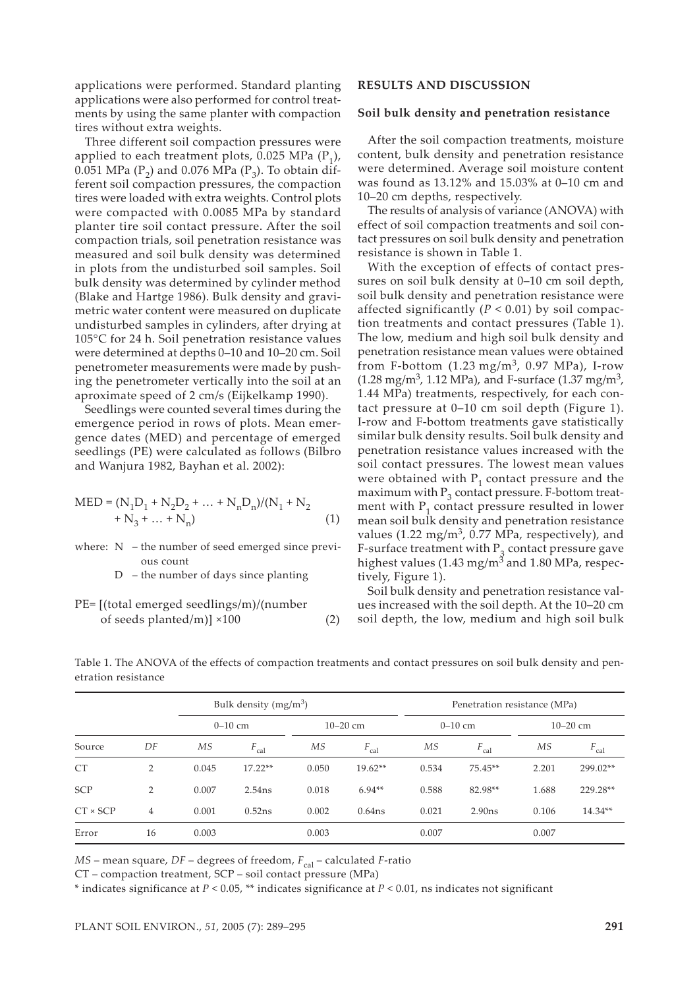applications were performed. Standard planting applications were also performed for control treatments by using the same planter with compaction tires without extra weights.

Three different soil compaction pressures were applied to each treatment plots, 0.025 MPa  $(P_1)$ , 0.051 MPa ( $P_2$ ) and 0.076 MPa ( $P_3$ ). To obtain different soil compaction pressures, the compaction tires were loaded with extra weights. Control plots were compacted with 0.0085 MPa by standard planter tire soil contact pressure. After the soil compaction trials, soil penetration resistance was measured and soil bulk density was determined in plots from the undisturbed soil samples. Soil bulk density was determined by cylinder method (Blake and Hartge 1986). Bulk density and gravimetric water content were measured on duplicate undisturbed samples in cylinders, after drying at 105°C for 24 h. Soil penetration resistance values were determined at depths 0–10 and 10–20 cm. Soil penetrometer measurements were made by pushing the penetrometer vertically into the soil at an aproximate speed of 2 cm/s (Eijkelkamp 1990).

Seedlings were counted several times during the emergence period in rows of plots. Mean emergence dates (MED) and percentage of emerged seedlings (PE) were calculated as follows (Bilbro and Wanjura 1982, Bayhan et al. 2002):

$$
MED = (N_1D_1 + N_2D_2 + ... + N_nD_n)/(N_1 + N_2 + N_3 + ... + N_n)
$$
\n(1)

where: N – the number of seed emerged since previous count

 $D$  – the number of days since planting

```
PE= [(total emerged seedlings/m)/(number 
of seeds planted/m)] \times100 (2)
```
#### **RESULTS AND DISCUSSION**

#### **Soil bulk density and penetration resistance**

After the soil compaction treatments, moisture content, bulk density and penetration resistance were determined. Average soil moisture content was found as 13.12% and 15.03% at 0–10 cm and 10–20 cm depths, respectively.

The results of analysis of variance (ANOVA) with effect of soil compaction treatments and soil contact pressures on soil bulk density and penetration resistance is shown in Table 1.

With the exception of effects of contact pressures on soil bulk density at 0–10 cm soil depth, soil bulk density and penetration resistance were affected significantly  $(P < 0.01)$  by soil compaction treatments and contact pressures (Table 1). The low, medium and high soil bulk density and penetration resistance mean values were obtained from F-bottom  $(1.23 \text{ mg/m}^3, 0.97 \text{ MPa})$ , I-row  $(1.28 \text{ mg/m}^3, 1.12 \text{ MPa})$ , and F-surface  $(1.37 \text{ mg/m}^3, 1.12 \text{ MPa})$ 1.44 MPa) treatments, respectively, for each contact pressure at 0–10 cm soil depth (Figure 1). I-row and F-bottom treatments gave statistically similar bulk density results. Soil bulk density and penetration resistance values increased with the soil contact pressures. The lowest mean values were obtained with  $P_1$  contact pressure and the maximum with  $P_3$  contact pressure. F-bottom treatment with  $P_1$  contact pressure resulted in lower mean soil bulk density and penetration resistance values (1.22 mg/m<sup>3</sup>, 0.77 MPa, respectively), and F-surface treatment with  $P<sub>3</sub>$  contact pressure gave highest values  $(1.43 \text{ mg/m}^3 \text{ and } 1.80 \text{ MPa}$ , respectively, Figure 1).

Soil bulk density and penetration resistance values increased with the soil depth. At the 10–20 cm soil depth, the low, medium and high soil bulk

|                 |                | Bulk density $(mg/m^3)$ |                  |              |                  | Penetration resistance (MPa) |                  |              |                  |
|-----------------|----------------|-------------------------|------------------|--------------|------------------|------------------------------|------------------|--------------|------------------|
|                 |                | $0-10$ cm               |                  | $10 - 20$ cm |                  | $0-10$ cm                    |                  | $10 - 20$ cm |                  |
| Source          | DF             | <b>MS</b>               | $F_{\text{cal}}$ | МS           | $F_{\text{cal}}$ | МS                           | $F_{\text{cal}}$ | МS           | $F_{\text{cal}}$ |
| <b>CT</b>       | $\overline{2}$ | 0.045                   | $17.22**$        | 0.050        | $19.62**$        | 0.534                        | $75.45**$        | 2.201        | 299.02**         |
| <b>SCP</b>      | 2              | 0.007                   | 2.54ns           | 0.018        | $6.94**$         | 0.588                        | 82.98**          | 1.688        | 229.28**         |
| $CT \times SCT$ | $\overline{4}$ | 0.001                   | 0.52ns           | 0.002        | $0.64$ ns        | 0.021                        | 2.90ns           | 0.106        | 14.34**          |
| Error           | 16             | 0.003                   |                  | 0.003        |                  | 0.007                        |                  | 0.007        |                  |

Table 1. The ANOVA of the effects of compaction treatments and contact pressures on soil bulk density and penetration resistance

*MS* – mean square, *DF* – degrees of freedom,  $F_{\text{cal}}$  – calculated *F*-ratio

CT – compaction treatment, SCP – soil contact pressure (MPa)

\* indicates significance at *P* < 0.05, \*\* indicates significance at *P* < 0.01, ns indicates not significant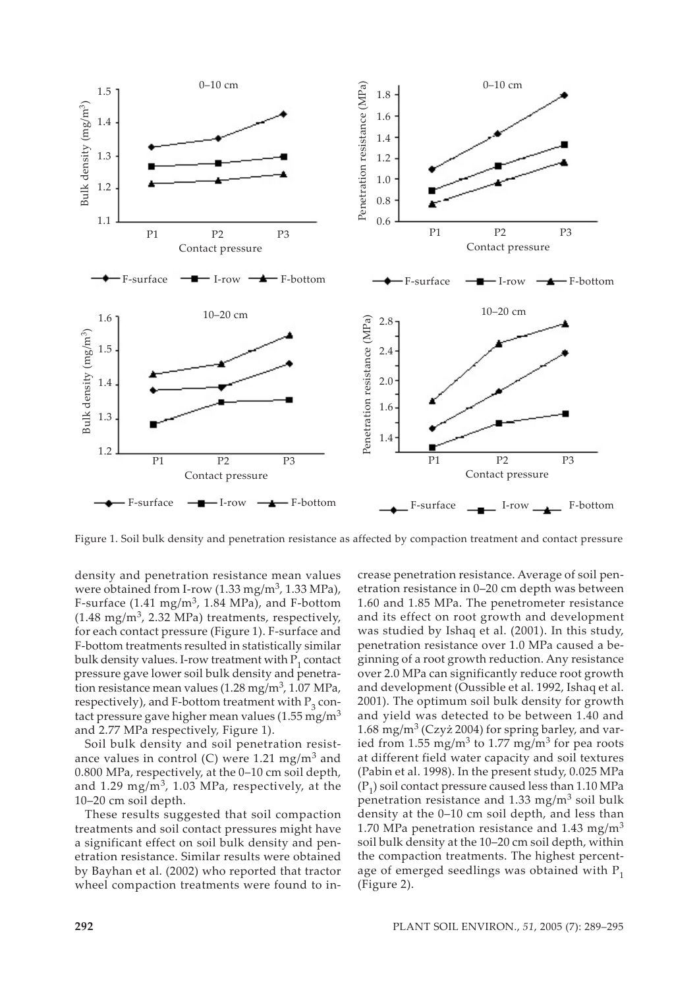

Figure 1. Soil bulk density and penetration resistance as affected by compaction treatment and contact pressure

density and penetration resistance mean values were obtained from I-row  $(1.33 \text{ mg/m}^3, 1.33 \text{ MPa})$ , F-surface  $(1.41 \text{ mg/m}^3, 1.84 \text{ MPa})$ , and F-bottom  $(1.48 \text{ mg/m}^3, 2.32 \text{ MPa})$  treatments, respectively, for each contact pressure (Figure 1). F-surface and F-bottom treatments resulted in statistically similar bulk density values. I-row treatment with  $P_1$  contact pressure gave lower soil bulk density and penetration resistance mean values  $(1.28 \text{ mg/m}^3, 1.07 \text{ MPa})$ , respectively), and F-bottom treatment with  $P_3$  contact pressure gave higher mean values  $(1.55 \text{ mg/m}^3)$ and 2.77 MPa respectively, Figure 1).

Soil bulk density and soil penetration resistance values in control (C) were 1.21 mg/m<sup>3</sup> and 0.800 MPa, respectively, at the 0–10 cm soil depth, and 1.29 mg/m<sup>3</sup>, 1.03 MPa, respectively, at the 10–20 cm soil depth.

These results suggested that soil compaction treatments and soil contact pressures might have a significant effect on soil bulk density and penetration resistance. Similar results were obtained by Bayhan et al. (2002) who reported that tractor wheel compaction treatments were found to increase penetration resistance. Average of soil penetration resistance in 0–20 cm depth was between 1.60 and 1.85 MPa. The penetrometer resistance and its effect on root growth and development was studied by Ishaq et al. (2001). In this study, penetration resistance over 1.0 MPa caused a beginning of a root growth reduction. Any resistance over 2.0 MPa can significantly reduce root growth and development (Oussible et al. 1992, Ishaq et al. 2001). The optimum soil bulk density for growth and yield was detected to be between 1.40 and 1.68 mg/m<sup>3</sup> (Czyż 2004) for spring barley, and varied from 1.55 mg/m3 to 1.77 mg/m3 for pea roots at different field water capacity and soil textures (Pabin et al. 1998). In the present study, 0.025 MPa  $(P_1)$  soil contact pressure caused less than 1.10 MPa penetration resistance and 1.33 mg/m<sup>3</sup> soil bulk density at the 0–10 cm soil depth, and less than 1.70 MPa penetration resistance and 1.43 mg/m<sup>3</sup> soil bulk density at the 10–20 cm soil depth, within the compaction treatments. The highest percentage of emerged seedlings was obtained with  $P_1$ (Figure 2).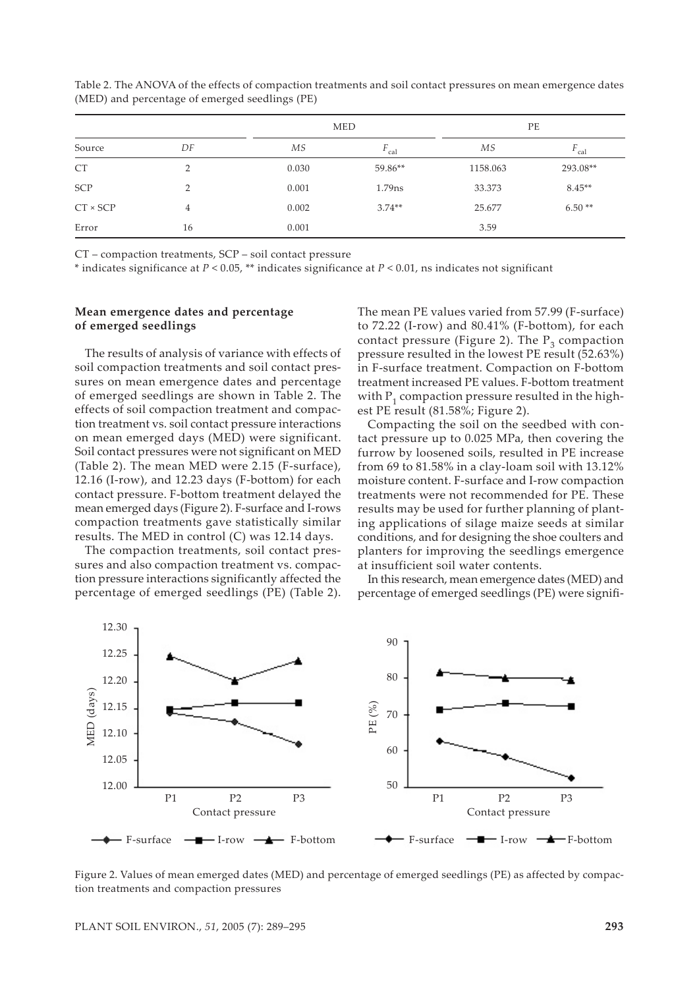|                 |                |       | <b>MED</b> | PE       |                  |  |
|-----------------|----------------|-------|------------|----------|------------------|--|
| Source          | DF             | МS    | F<br>cal   | МS       | $F_{\text{cal}}$ |  |
| CT              | $\overline{2}$ | 0.030 | 59.86**    | 1158.063 | 293.08**         |  |
| SCP             | $\overline{2}$ | 0.001 | $1.79$ ns  | 33.373   | $8.45**$         |  |
| $CT \times SCT$ | 4              | 0.002 | $3.74**$   | 25.677   | $6.50**$         |  |
| Error           | 16             | 0.001 |            | 3.59     |                  |  |

Table 2. The ANOVA of the effects of compaction treatments and soil contact pressures on mean emergence dates (MED) and percentage of emerged seedlings (PE)

CT – compaction treatments, SCP – soil contact pressure

\* indicates significance at *P* < 0.05, \*\* indicates significance at *P* < 0.01, ns indicates not significant

#### **Mean emergence dates and percentage of emerged seedlings**

The results of analysis of variance with effects of soil compaction treatments and soil contact pressures on mean emergence dates and percentage of emerged seedlings are shown in Table 2. The effects of soil compaction treatment and compaction treatment vs. soil contact pressure interactions on mean emerged days (MED) were significant. Soil contact pressures were not significant on MED (Table 2). The mean MED were 2.15 (F-surface), 12.16 (I-row), and 12.23 days (F-bottom) for each contact pressure. F-bottom treatment delayed the mean emerged days (Figure 2). F-surface and I-rows compaction treatments gave statistically similar results. The MED in control (C) was 12.14 days.

The compaction treatments, soil contact pressures and also compaction treatment vs. compaction pressure interactions significantly affected the percentage of emerged seedlings (PE) (Table 2). The mean PE values varied from 57.99 (F-surface) to 72.22 (I-row) and 80.41% (F-bottom), for each contact pressure (Figure 2). The  $P_3$  compaction pressure resulted in the lowest PE result (52.63%) in F-surface treatment. Compaction on F-bottom treatment increased PE values. F-bottom treatment with  $P_1$  compaction pressure resulted in the highest PE result (81.58%; Figure 2).

Compacting the soil on the seedbed with contact pressure up to 0.025 MPa, then covering the furrow by loosened soils, resulted in PE increase from 69 to 81.58% in a clay-loam soil with 13.12% moisture content. F-surface and I-row compaction treatments were not recommended for PE. These results may be used for further planning of planting applications of silage maize seeds at similar conditions, and for designing the shoe coulters and planters for improving the seedlings emergence at insufficient soil water contents.

In this research, mean emergence dates (MED) and percentage of emerged seedlings (PE) were signifi-



Figure 2. Values of mean emerged dates (MED) and percentage of emerged seedlings (PE) as affected by compaction treatments and compaction pressures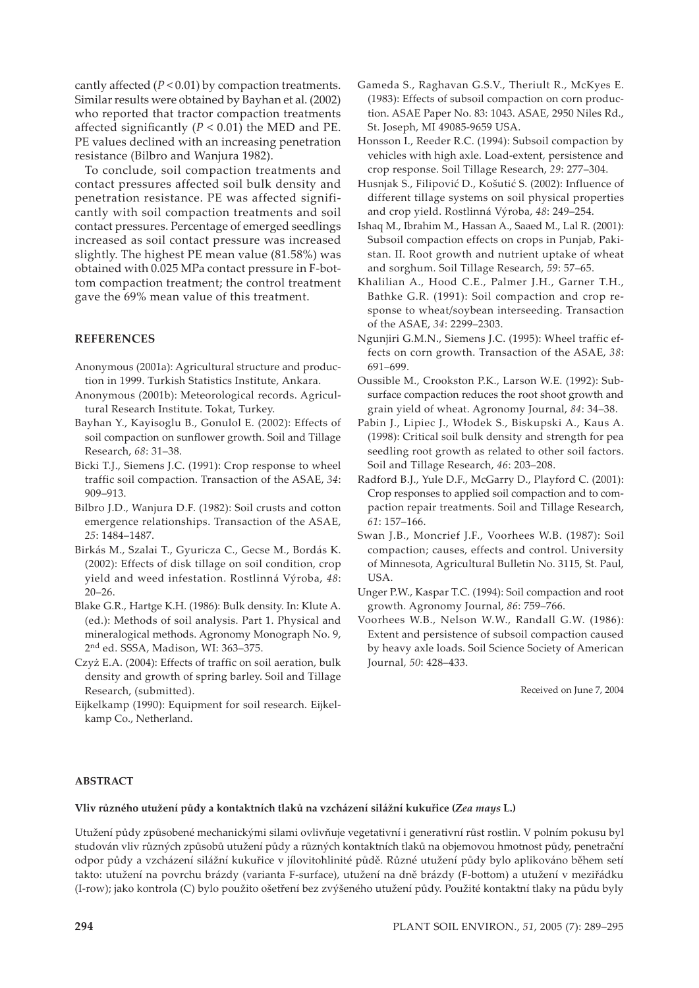cantly affected (*P* < 0.01) by compaction treatments. Similar results were obtained by Bayhan et al. (2002) who reported that tractor compaction treatments affected significantly  $(P < 0.01)$  the MED and PE. PE values declined with an increasing penetration resistance (Bilbro and Wanjura 1982).

To conclude, soil compaction treatments and contact pressures affected soil bulk density and penetration resistance. PE was affected significantly with soil compaction treatments and soil contact pressures. Percentage of emerged seedlings increased as soil contact pressure was increased slightly. The highest PE mean value (81.58%) was obtained with 0.025 MPa contact pressure in F-bottom compaction treatment; the control treatment gave the 69% mean value of this treatment.

## **REFERENCES**

- Anonymous (2001a): Agricultural structure and production in 1999. Turkish Statistics Institute, Ankara.
- Anonymous (2001b): Meteorological records. Agricultural Research Institute. Tokat, Turkey.
- Bayhan Y., Kayisoglu B., Gonulol E. (2002): Effects of soil compaction on sunflower growth. Soil and Tillage Research, *68*: 31–38.
- Bicki T.J., Siemens J.C. (1991): Crop response to wheel traffic soil compaction. Transaction of the ASAE, *34*: 909–913.
- Bilbro J.D., Wanjura D.F. (1982): Soil crusts and cotton emergence relationships. Transaction of the ASAE, *25*: 1484–1487.
- Birkás M., Szalai T., Gyuricza C., Gecse M., Bordás K. (2002): Effects of disk tillage on soil condition, crop yield and weed infestation. Rostlinná Výroba, *48*: 20–26.
- Blake G.R., Hartge K.H. (1986): Bulk density. In: Klute A. (ed.): Methods of soil analysis. Part 1. Physical and mineralogical methods. Agronomy Monograph No. 9, 2nd ed. SSSA, Madison, WI: 363–375.
- Czyż E.A. (2004): Effects of traffic on soil aeration, bulk density and growth of spring barley. Soil and Tillage Research, (submitted).
- Eijkelkamp (1990): Equipment for soil research. Eijkelkamp Co., Netherland.
- Gameda S., Raghavan G.S.V., Theriult R., McKyes E. (1983): Effects of subsoil compaction on corn production. ASAE Paper No. 83: 1043. ASAE, 2950 Niles Rd., St. Joseph, MI 49085-9659 USA.
- Honsson I., Reeder R.C. (1994): Subsoil compaction by vehicles with high axle. Load-extent, persistence and crop response. Soil Tillage Research, *29*: 277–304.
- Husnjak S., Filipović D., Košutić S. (2002): Influence of different tillage systems on soil physical properties and crop yield. Rostlinná Výroba, *48*: 249–254.
- Ishaq M., Ibrahim M., Hassan A., Saaed M., Lal R. (2001): Subsoil compaction effects on crops in Punjab, Pakistan. II. Root growth and nutrient uptake of wheat and sorghum. Soil Tillage Research, *59*: 57–65.
- Khalilian A., Hood C.E., Palmer J.H., Garner T.H., Bathke G.R. (1991): Soil compaction and crop response to wheat/soybean interseeding. Transaction of the ASAE, *34*: 2299–2303.
- Ngunjiri G.M.N., Siemens J.C. (1995): Wheel traffic effects on corn growth. Transaction of the ASAE, *38*: 691–699.
- Oussible M., Crookston P.K., Larson W.E. (1992): Subsurface compaction reduces the root shoot growth and grain yield of wheat. Agronomy Journal, *84*: 34–38.
- Pabin J., Lipiec J., Włodek S., Biskupski A., Kaus A. (1998): Critical soil bulk density and strength for pea seedling root growth as related to other soil factors. Soil and Tillage Research, *46*: 203–208.
- Radford B.J., Yule D.F., McGarry D., Playford C. (2001): Crop responses to applied soil compaction and to compaction repair treatments. Soil and Tillage Research, *61*: 157–166.
- Swan J.B., Moncrief J.F., Voorhees W.B. (1987): Soil compaction; causes, effects and control. University of Minnesota, Agricultural Bulletin No. 3115, St. Paul, USA.
- Unger P.W., Kaspar T.C. (1994): Soil compaction and root growth. Agronomy Journal, *86*: 759–766.
- Voorhees W.B., Nelson W.W., Randall G.W. (1986): Extent and persistence of subsoil compaction caused by heavy axle loads. Soil Science Society of American Journal, *50*: 428–433.

Received on June 7, 2004

## **ABSTRACT**

## **Vliv různého utužení půdy a kontaktních tlaků na vzcházení silážní kukuřice (***Zea mays* **L.)**

Utužení půdy způsobené mechanickými silami ovlivňuje vegetativní i generativní růst rostlin. V polním pokusu byl studován vliv různých způsobů utužení půdy a různých kontaktních tlaků na objemovou hmotnost půdy, penetrační odpor půdy a vzcházení silážní kukuřice v jílovitohlinité půdě. Různé utužení půdy bylo aplikováno během setí takto: utužení na povrchu brázdy (varianta F-surface), utužení na dně brázdy (F-bottom) a utužení v meziřádku (I-row); jako kontrola (C) bylo použito ošetření bez zvýšeného utužení půdy. Použité kontaktní tlaky na půdu byly